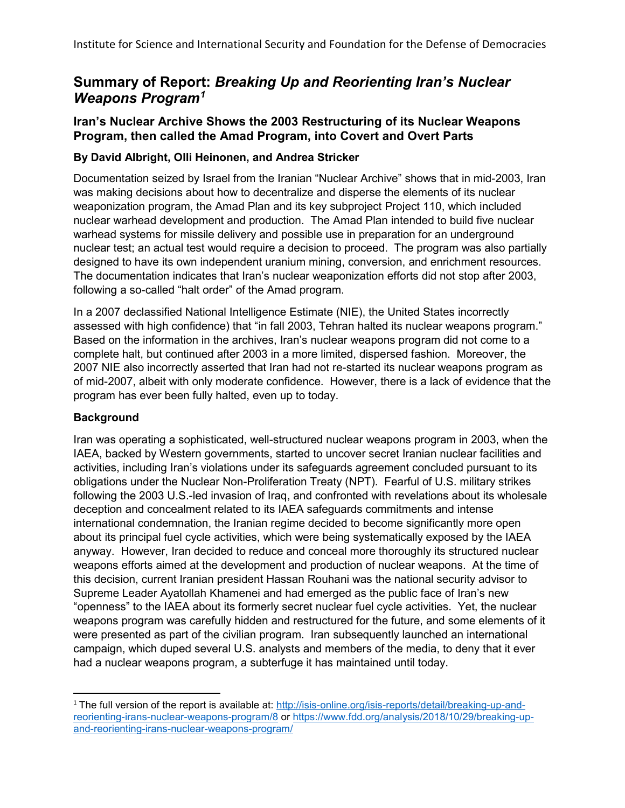# **Summary of Report:** *Breaking Up and Reorienting Iran's Nuclear Weapons Program[1](#page-0-0)*

## **Iran's Nuclear Archive Shows the 2003 Restructuring of its Nuclear Weapons Program, then called the Amad Program, into Covert and Overt Parts**

### **By David Albright, Olli Heinonen, and Andrea Stricker**

Documentation seized by Israel from the Iranian "Nuclear Archive" shows that in mid-2003, Iran was making decisions about how to decentralize and disperse the elements of its nuclear weaponization program, the Amad Plan and its key subproject Project 110, which included nuclear warhead development and production. The Amad Plan intended to build five nuclear warhead systems for missile delivery and possible use in preparation for an underground nuclear test; an actual test would require a decision to proceed. The program was also partially designed to have its own independent uranium mining, conversion, and enrichment resources. The documentation indicates that Iran's nuclear weaponization efforts did not stop after 2003, following a so-called "halt order" of the Amad program.

In a 2007 declassified National Intelligence Estimate (NIE), the United States incorrectly assessed with high confidence) that "in fall 2003, Tehran halted its nuclear weapons program." Based on the information in the archives, Iran's nuclear weapons program did not come to a complete halt, but continued after 2003 in a more limited, dispersed fashion. Moreover, the 2007 NIE also incorrectly asserted that Iran had not re-started its nuclear weapons program as of mid-2007, albeit with only moderate confidence. However, there is a lack of evidence that the program has ever been fully halted, even up to today.

#### **Background**

Iran was operating a sophisticated, well-structured nuclear weapons program in 2003, when the IAEA, backed by Western governments, started to uncover secret Iranian nuclear facilities and activities, including Iran's violations under its safeguards agreement concluded pursuant to its obligations under the Nuclear Non-Proliferation Treaty (NPT). Fearful of U.S. military strikes following the 2003 U.S.-led invasion of Iraq, and confronted with revelations about its wholesale deception and concealment related to its IAEA safeguards commitments and intense international condemnation, the Iranian regime decided to become significantly more open about its principal fuel cycle activities, which were being systematically exposed by the IAEA anyway. However, Iran decided to reduce and conceal more thoroughly its structured nuclear weapons efforts aimed at the development and production of nuclear weapons. At the time of this decision, current Iranian president Hassan Rouhani was the national security advisor to Supreme Leader Ayatollah Khamenei and had emerged as the public face of Iran's new "openness" to the IAEA about its formerly secret nuclear fuel cycle activities. Yet, the nuclear weapons program was carefully hidden and restructured for the future, and some elements of it were presented as part of the civilian program. Iran subsequently launched an international campaign, which duped several U.S. analysts and members of the media, to deny that it ever had a nuclear weapons program, a subterfuge it has maintained until today.

<span id="page-0-0"></span><sup>&</sup>lt;sup>1</sup> The full version of the report is available at: [http://isis-online.org/isis-reports/detail/breaking-up-and](http://isis-online.org/isis-reports/detail/breaking-up-and-reorienting-irans-nuclear-weapons-program/8)[reorienting-irans-nuclear-weapons-program/8](http://isis-online.org/isis-reports/detail/breaking-up-and-reorienting-irans-nuclear-weapons-program/8) or [https://www.fdd.org/analysis/2018/10/29/breaking-up](https://www.fdd.org/analysis/2018/10/29/breaking-up-and-reorienting-irans-nuclear-weapons-program/)[and-reorienting-irans-nuclear-weapons-program/](https://www.fdd.org/analysis/2018/10/29/breaking-up-and-reorienting-irans-nuclear-weapons-program/)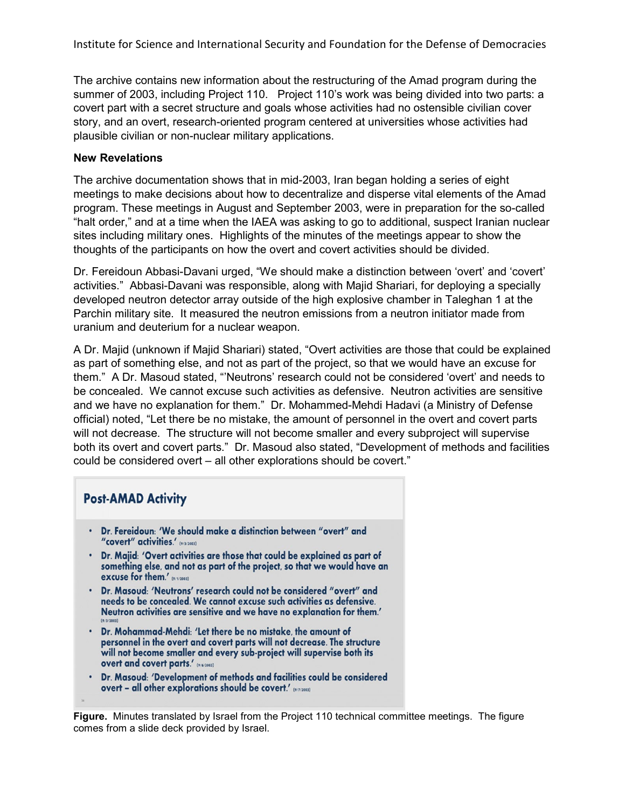Institute for Science and International Security and Foundation for the Defense of Democracies

The archive contains new information about the restructuring of the Amad program during the summer of 2003, including Project 110. Project 110's work was being divided into two parts: a covert part with a secret structure and goals whose activities had no ostensible civilian cover story, and an overt, research-oriented program centered at universities whose activities had plausible civilian or non-nuclear military applications.

#### **New Revelations**

The archive documentation shows that in mid-2003, Iran began holding a series of eight meetings to make decisions about how to decentralize and disperse vital elements of the Amad program. These meetings in August and September 2003, were in preparation for the so-called "halt order," and at a time when the IAEA was asking to go to additional, suspect Iranian nuclear sites including military ones. Highlights of the minutes of the meetings appear to show the thoughts of the participants on how the overt and covert activities should be divided.

Dr. Fereidoun Abbasi-Davani urged, "We should make a distinction between 'overt' and 'covert' activities." Abbasi-Davani was responsible, along with Majid Shariari, for deploying a specially developed neutron detector array outside of the high explosive chamber in Taleghan 1 at the Parchin military site. It measured the neutron emissions from a neutron initiator made from uranium and deuterium for a nuclear weapon.

A Dr. Majid (unknown if Majid Shariari) stated, "Overt activities are those that could be explained as part of something else, and not as part of the project, so that we would have an excuse for them." A Dr. Masoud stated, "'Neutrons' research could not be considered 'overt' and needs to be concealed. We cannot excuse such activities as defensive. Neutron activities are sensitive and we have no explanation for them." Dr. Mohammed-Mehdi Hadavi (a Ministry of Defense official) noted, "Let there be no mistake, the amount of personnel in the overt and covert parts will not decrease. The structure will not become smaller and every subproject will supervise both its overt and covert parts." Dr. Masoud also stated, "Development of methods and facilities could be considered overt – all other explorations should be covert."

| <b>Post-AMAD Activity</b>                                                                                                                                                                                                                                 |
|-----------------------------------------------------------------------------------------------------------------------------------------------------------------------------------------------------------------------------------------------------------|
| . Dr. Fereidoun: 'We should make a distinction between "overt" and<br>"covert" activities.' (9/2003)                                                                                                                                                      |
| . Dr. Majid: 'Overt activities are those that could be explained as part of<br>something else, and not as part of the project, so that we would have an<br>excuse for them.' (suggest)                                                                    |
| . Dr. Masoud: 'Neutrons' research could not be considered "overt" and<br>needs to be concealed. We cannot excuse such activities as defensive.<br>Neutron activities are sensitive and we have no explanation for them.'<br>(9/3/2003)                    |
| • Dr. Mohammad-Mehdi: 'Let there be no mistake, the amount of<br>personnel in the overt and covert parts will not decrease. The structure<br>will not become smaller and every sub-project will supervise both its<br>overt and covert parts.' (9/6/2003) |
| . Dr. Masoud: 'Development of methods and facilities could be considered<br>overt - all other explorations should be covert.' (4772003)                                                                                                                   |

**Figure.** Minutes translated by Israel from the Project 110 technical committee meetings. The figure comes from a slide deck provided by Israel.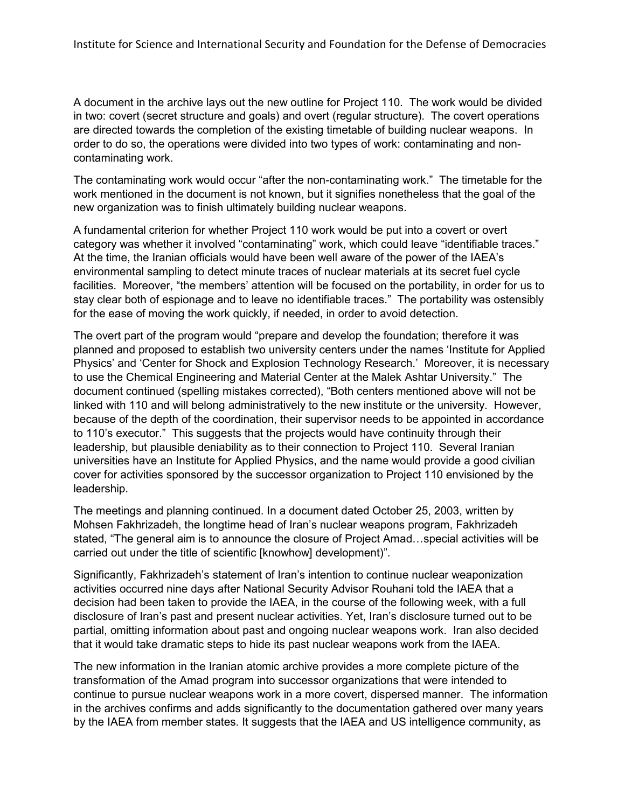A document in the archive lays out the new outline for Project 110. The work would be divided in two: covert (secret structure and goals) and overt (regular structure). The covert operations are directed towards the completion of the existing timetable of building nuclear weapons. In order to do so, the operations were divided into two types of work: contaminating and noncontaminating work.

The contaminating work would occur "after the non-contaminating work." The timetable for the work mentioned in the document is not known, but it signifies nonetheless that the goal of the new organization was to finish ultimately building nuclear weapons.

A fundamental criterion for whether Project 110 work would be put into a covert or overt category was whether it involved "contaminating" work, which could leave "identifiable traces." At the time, the Iranian officials would have been well aware of the power of the IAEA's environmental sampling to detect minute traces of nuclear materials at its secret fuel cycle facilities. Moreover, "the members' attention will be focused on the portability, in order for us to stay clear both of espionage and to leave no identifiable traces." The portability was ostensibly for the ease of moving the work quickly, if needed, in order to avoid detection.

The overt part of the program would "prepare and develop the foundation; therefore it was planned and proposed to establish two university centers under the names 'Institute for Applied Physics' and 'Center for Shock and Explosion Technology Research.' Moreover, it is necessary to use the Chemical Engineering and Material Center at the Malek Ashtar University." The document continued (spelling mistakes corrected), "Both centers mentioned above will not be linked with 110 and will belong administratively to the new institute or the university. However, because of the depth of the coordination, their supervisor needs to be appointed in accordance to 110's executor." This suggests that the projects would have continuity through their leadership, but plausible deniability as to their connection to Project 110. Several Iranian universities have an Institute for Applied Physics, and the name would provide a good civilian cover for activities sponsored by the successor organization to Project 110 envisioned by the leadership.

The meetings and planning continued. In a document dated October 25, 2003, written by Mohsen Fakhrizadeh, the longtime head of Iran's nuclear weapons program, Fakhrizadeh stated, "The general aim is to announce the closure of Project Amad…special activities will be carried out under the title of scientific [knowhow] development)".

Significantly, Fakhrizadeh's statement of Iran's intention to continue nuclear weaponization activities occurred nine days after National Security Advisor Rouhani told the IAEA that a decision had been taken to provide the IAEA, in the course of the following week, with a full disclosure of Iran's past and present nuclear activities. Yet, Iran's disclosure turned out to be partial, omitting information about past and ongoing nuclear weapons work. Iran also decided that it would take dramatic steps to hide its past nuclear weapons work from the IAEA.

The new information in the Iranian atomic archive provides a more complete picture of the transformation of the Amad program into successor organizations that were intended to continue to pursue nuclear weapons work in a more covert, dispersed manner. The information in the archives confirms and adds significantly to the documentation gathered over many years by the IAEA from member states. It suggests that the IAEA and US intelligence community, as